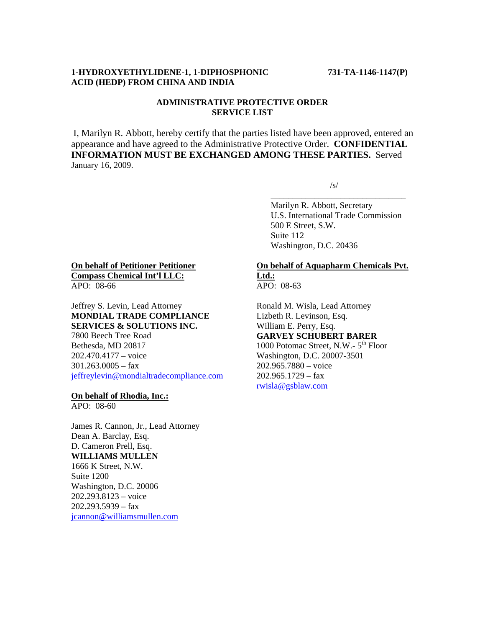### **1-HYDROXYETHYLIDENE-1, 1-DIPHOSPHONIC 731-TA-1146-1147(P) ACID (HEDP) FROM CHINA AND INDIA**

# **ADMINISTRATIVE PROTECTIVE ORDER SERVICE LIST**

I, Marilyn R. Abbott, hereby certify that the parties listed have been approved, entered an appearance and have agreed to the Administrative Protective Order. **CONFIDENTIAL INFORMATION MUST BE EXCHANGED AMONG THESE PARTIES.** Served January 16, 2009.

 $\sqrt{s}$ 

 $\overline{\phantom{a}}$  , and the contract of the contract of the contract of the contract of the contract of the contract of the contract of the contract of the contract of the contract of the contract of the contract of the contrac Marilyn R. Abbott, Secretary U.S. International Trade Commission 500 E Street, S.W. Suite 112 Washington, D.C. 20436

### **On behalf of Petitioner Petitioner Compass Chemical Int'l LLC:** APO: 08-66

Jeffrey S. Levin, Lead Attorney **MONDIAL TRADE COMPLIANCE SERVICES & SOLUTIONS INC.** 7800 Beech Tree Road Bethesda, MD 20817 202.470.4177 – voice 301.263.0005 – fax jeffreylevin@mondialtradecompliance.com

# **On behalf of Rhodia, Inc.:**

APO: 08-60

James R. Cannon, Jr., Lead Attorney Dean A. Barclay, Esq. D. Cameron Prell, Esq. **WILLIAMS MULLEN**  1666 K Street, N.W. Suite 1200 Washington, D.C. 20006 202.293.8123 – voice 202.293.5939 – fax jcannon@williamsmullen.com

#### **On behalf of Aquapharm Chemicals Pvt. Ltd.:** APO: 08-63

Ronald M. Wisla, Lead Attorney Lizbeth R. Levinson, Esq. William E. Perry, Esq. **GARVEY SCHUBERT BARER** 1000 Potomac Street, N.W.-  $5<sup>th</sup>$  Floor Washington, D.C. 20007-3501 202.965.7880 – voice 202.965.1729 – fax rwisla@gsblaw.com